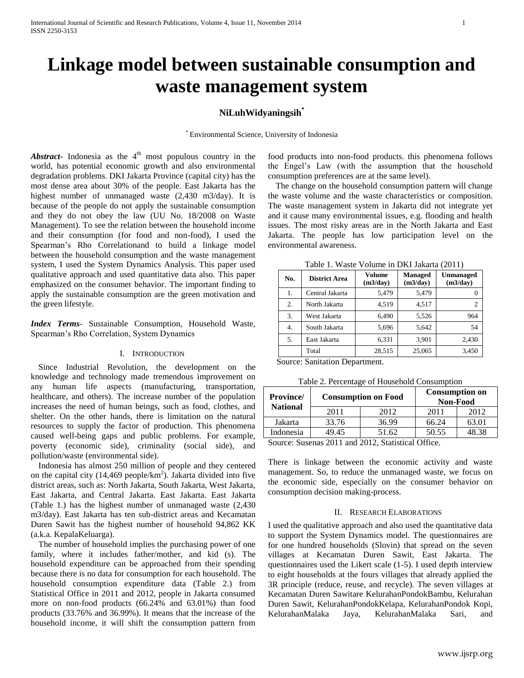# **Linkage model between sustainable consumption and waste management system**

# **NiLuhWidyaningsih\***

\* Environmental Science, University of Indonesia

Abstract- Indonesia as the 4<sup>th</sup> most populous country in the world, has potential economic growth and also environmental degradation problems. DKI Jakarta Province (capital city) has the most dense area about 30% of the people. East Jakarta has the highest number of unmanaged waste (2,430 m3/day). It is because of the people do not apply the sustainable consumption and they do not obey the law (UU No. 18/2008 on Waste Management). To see the relation between the household income and their consumption (for food and non-food), I used the Spearman's Rho Correlationand to build a linkage model between the household consumption and the waste management system, I used the System Dynamics Analysis. This paper used qualitative approach and used quantitative data also. This paper emphasized on the consumer behavior. The important finding to apply the sustainable consumption are the green motivation and the green lifestyle.

*Index Terms*- Sustainable Consumption, Household Waste, Spearman's Rho Correlation, System Dynamics

## I. INTRODUCTION

Since Industrial Revolution, the development on the knowledge and technology made tremendous improvement on any human life aspects (manufacturing, transportation, healthcare, and others). The increase number of the population increases the need of human beings, such as food, clothes, and shelter. On the other hands, there is limitation on the natural resources to supply the factor of production. This phenomena caused well-being gaps and public problems. For example, poverty (economic side), criminality (social side), and pollution/waste (environmental side).

Indonesia has almost 250 million of people and they centered on the capital city (14,469 people/ $km<sup>2</sup>$ ). Jakarta divided into five district areas, such as: North Jakarta, South Jakarta, West Jakarta, East Jakarta, and Central Jakarta. East Jakarta. East Jakarta (Table 1.) has the highest number of unmanaged waste (2,430 m3/day). East Jakarta has ten sub-district areas and Kecamatan Duren Sawit has the highest number of household 94,862 KK (a.k.a. KepalaKeluarga).

The number of household implies the purchasing power of one family, where it includes father/mother, and kid (s). The household expenditure can be approached from their spending because there is no data for consumption for each household. The household consumption expenditure data (Table 2.) from Statistical Office in 2011 and 2012, people in Jakarta consumed more on non-food products (66.24% and 63.01%) than food products (33.76% and 36.99%). It means that the increase of the household income, it will shift the consumption pattern from

food products into non-food products. this phenomena follows the Engel's Law (with the assumption that the household consumption preferences are at the same level).

The change on the household consumption pattern will change the waste volume and the waste characteristics or composition. The waste management system in Jakarta did not integrate yet and it cause many environmental issues, e.g. flooding and health issues. The most risky areas are in the North Jakarta and East Jakarta. The people has low participation level on the environmental awareness.

Table 1. Waste Volume in DKI Jakarta (2011)

| No.              | <b>District Area</b> | <b>Volume</b><br>(m3/day) | <b>Managed</b><br>(m3/day) | Unmanaged<br>(m3/day) |
|------------------|----------------------|---------------------------|----------------------------|-----------------------|
| 1.               | Central Jakarta      | 5,479                     | 5,479                      |                       |
| $\overline{2}$ . | North Jakarta        | 4,519                     | 4.517                      |                       |
| 3.               | West Jakarta         | 6,490                     | 5,526                      | 964                   |
| 4.               | South Jakarta        | 5,696                     | 5,642                      | 54                    |
| 5.               | East Jakarta         | 6,331                     | 3,901                      | 2,430                 |
|                  | Total                | 28,515                    | 25,065                     | 3,450                 |

Source: Sanitation Department.

| <b>Province</b><br><b>National</b> | <b>Consumption on Food</b> |       | <b>Consumption on</b><br>Non-Food |       |
|------------------------------------|----------------------------|-------|-----------------------------------|-------|
|                                    | 2011                       | 2012  | 2011                              | 2012  |
| Jakarta                            | 33.76                      | 36.99 | 66.24                             | 63.01 |
| Indonesia                          | 49.45                      | 51.62 | 50.55                             | 48.38 |
| $-$                                | - - - -                    |       |                                   |       |

Source: Susenas 2011 and 2012, Statistical Office.

There is linkage between the economic activity and waste management. So, to reduce the unmanaged waste, we focus on the economic side, especially on the consumer behavior on consumption decision making-process.

### II. RESEARCH ELABORATIONS

I used the qualitative approach and also used the quantitative data to support the System Dynamics model. The questionnaires are for one hundred households (Slovin) that spread on the seven villages at Kecamatan Duren Sawit, East Jakarta. The questionnaires used the Likert scale (1-5). I used depth interview to eight households at the fours villages that already applied the 3R principle (reduce, reuse, and recycle). The seven villages at Kecamatan Duren Sawitare KelurahanPondokBambu, Kelurahan Duren Sawit, KelurahanPondokKelapa, KelurahanPondok Kopi, KelurahanMalaka Jaya, KelurahanMalaka Sari, and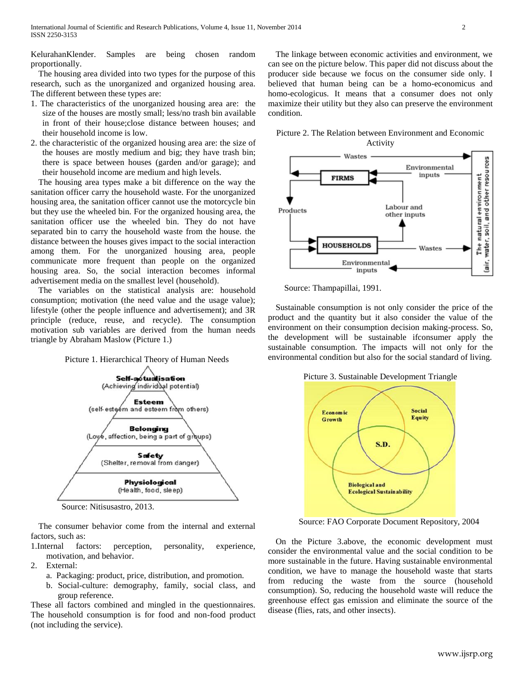KelurahanKlender. Samples are being chosen random proportionally.

The housing area divided into two types for the purpose of this research, such as the unorganized and organized housing area. The different between these types are:

- 1. The characteristics of the unorganized housing area are: the size of the houses are mostly small; less/no trash bin available in front of their house;close distance between houses; and their household income is low.
- 2. the characteristic of the organized housing area are: the size of the houses are mostly medium and big; they have trash bin; there is space between houses (garden and/or garage); and their household income are medium and high levels.

The housing area types make a bit difference on the way the sanitation officer carry the household waste. For the unorganized housing area, the sanitation officer cannot use the motorcycle bin but they use the wheeled bin. For the organized housing area, the sanitation officer use the wheeled bin. They do not have separated bin to carry the household waste from the house. the distance between the houses gives impact to the social interaction among them. For the unorganized housing area, people communicate more frequent than people on the organized housing area. So, the social interaction becomes informal advertisement media on the smallest level (household).

The variables on the statistical analysis are: household consumption; motivation (the need value and the usage value); lifestyle (other the people influence and advertisement); and 3R principle (reduce, reuse, and recycle). The consumption motivation sub variables are derived from the human needs triangle by Abraham Maslow (Picture 1.)

### Picture 1. Hierarchical Theory of Human Needs



Source: Nitisusastro, 2013.

The consumer behavior come from the internal and external factors, such as:

- 1.Internal factors: perception, personality, experience, motivation, and behavior.
- 2. External:
	- a. Packaging: product, price, distribution, and promotion.
	- b. Social-culture: demography, family, social class, and group reference.

These all factors combined and mingled in the questionnaires. The household consumption is for food and non-food product (not including the service).

The linkage between economic activities and environment, we can see on the picture below. This paper did not discuss about the producer side because we focus on the consumer side only. I believed that human being can be a homo-economicus and homo-ecologicus. It means that a consumer does not only maximize their utility but they also can preserve the environment condition.





Source: Thampapillai, 1991.

Sustainable consumption is not only consider the price of the product and the quantity but it also consider the value of the environment on their consumption decision making-process. So, the development will be sustainable ifconsumer apply the sustainable consumption. The impacts will not only for the environmental condition but also for the social standard of living.

Picture 3. Sustainable Development Triangle



Source: FAO Corporate Document Repository, 2004

On the Picture 3.above, the economic development must consider the environmental value and the social condition to be more sustainable in the future. Having sustainable environmental condition, we have to manage the household waste that starts from reducing the waste from the source (household consumption). So, reducing the household waste will reduce the greenhouse effect gas emission and eliminate the source of the disease (flies, rats, and other insects).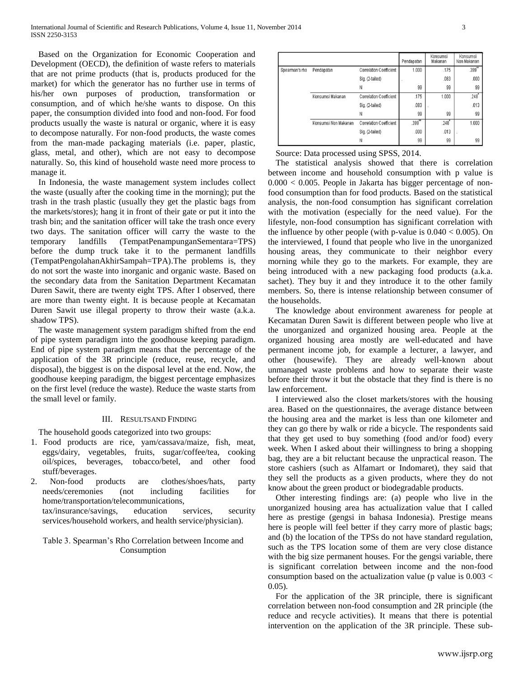Based on the Organization for Economic Cooperation and Development (OECD), the definition of waste refers to materials that are not prime products (that is, products produced for the market) for which the generator has no further use in terms of his/her own purposes of production, transformation or consumption, and of which he/she wants to dispose. On this paper, the consumption divided into food and non-food. For food products usually the waste is natural or organic, where it is easy to decompose naturally. For non-food products, the waste comes from the man-made packaging materials (i.e. paper, plastic, glass, metal, and other), which are not easy to decompose naturally. So, this kind of household waste need more process to manage it.

In Indonesia, the waste management system includes collect the waste (usually after the cooking time in the morning); put the trash in the trash plastic (usually they get the plastic bags from the markets/stores); hang it in front of their gate or put it into the trash bin; and the sanitation officer will take the trash once every two days. The sanitation officer will carry the waste to the temporary landfills (TempatPenampunganSementara=TPS) before the dump truck take it to the permanent landfills (TempatPengolahanAkhirSampah=TPA).The problems is, they do not sort the waste into inorganic and organic waste. Based on the secondary data from the Sanitation Department Kecamatan Duren Sawit, there are twenty eight TPS. After I observed, there are more than twenty eight. It is because people at Kecamatan Duren Sawit use illegal property to throw their waste (a.k.a. shadow TPS).

The waste management system paradigm shifted from the end of pipe system paradigm into the goodhouse keeping paradigm. End of pipe system paradigm means that the percentage of the application of the 3R principle (reduce, reuse, recycle, and disposal), the biggest is on the disposal level at the end. Now, the goodhouse keeping paradigm, the biggest percentage emphasizes on the first level (reduce the waste). Reduce the waste starts from the small level or family.

### III. RESULTSAND FINDING

The household goods categorized into two groups:

- 1. Food products are rice, yam/cassava/maize, fish, meat, eggs/dairy, vegetables, fruits, sugar/coffee/tea, cooking oil/spices, beverages, tobacco/betel, and other food stuff/beverages.
- 2. Non-food products are clothes/shoes/hats, party needs/ceremonies (not including facilities for home/transportation/telecommunications, tax/insurance/savings, education services, security

services/household workers, and health service/physician).

# Table 3. Spearman's Rho Correlation between Income and Consumption

|                |                      |                                | Pendapatan           | Konsumsi<br>Makanan | Konsumsi<br>Non Makanan |
|----------------|----------------------|--------------------------------|----------------------|---------------------|-------------------------|
| Spearman's rho | Pendapatan           | Correlation Coefficient        | 1.000                | .175                | .399"                   |
|                |                      | Sig. (2-tailed)                |                      | .083                | .000                    |
|                |                      | Ν                              | 99                   | 99                  | 99                      |
|                | Konsumsi Makanan     | Correlation Coefficient        | .175                 | 1.000               | .248                    |
|                |                      | Sig. (2-tailed)                | .083                 |                     | .013                    |
|                |                      | Ν                              | 99                   | 99                  | 99                      |
|                | Konsumsi Non Makanan | <b>Correlation Coefficient</b> | $.399$ <sup>**</sup> | $.248$ <sup>*</sup> | 1.000                   |
|                |                      | Sig. (2-tailed)                | .000                 | .013                |                         |
|                |                      | N                              | 99                   | 99                  | 99                      |

Source: Data processed using SPSS, 2014.

The statistical analysis showed that there is correlation between income and household consumption with p value is  $0.000 < 0.005$ . People in Jakarta has bigger percentage of nonfood consumption than for food products. Based on the statistical analysis, the non-food consumption has significant correlation with the motivation (especially for the need value). For the lifestyle, non-food consumption has significant correlation with the influence by other people (with p-value is  $0.040 < 0.005$ ). On the interviewed, I found that people who live in the unorganized housing areas, they communicate to their neighbor every morning while they go to the markets. For example, they are being introduced with a new packaging food products (a.k.a. sachet). They buy it and they introduce it to the other family members. So, there is intense relationship between consumer of the households.

The knowledge about environment awareness for people at Kecamatan Duren Sawit is different between people who live at the unorganized and organized housing area. People at the organized housing area mostly are well-educated and have permanent income job, for example a lecturer, a lawyer, and other (housewife). They are already well-known about unmanaged waste problems and how to separate their waste before their throw it but the obstacle that they find is there is no law enforcement.

I interviewed also the closet markets/stores with the housing area. Based on the questionnaires, the average distance between the housing area and the market is less than one kilometer and they can go there by walk or ride a bicycle. The respondents said that they get used to buy something (food and/or food) every week. When I asked about their willingness to bring a shopping bag, they are a bit reluctant because the unpractical reason. The store cashiers (such as Alfamart or Indomaret), they said that they sell the products as a given products, where they do not know about the green product or biodegradable products.

Other interesting findings are: (a) people who live in the unorganized housing area has actualization value that I called here as prestige (gengsi in bahasa Indonesia). Prestige means here is people will feel better if they carry more of plastic bags; and (b) the location of the TPSs do not have standard regulation, such as the TPS location some of them are very close distance with the big size permanent houses. For the gengsi variable, there is significant correlation between income and the non-food consumption based on the actualization value (p value is  $0.003 <$ 0.05).

For the application of the 3R principle, there is significant correlation between non-food consumption and 2R principle (the reduce and recycle activities). It means that there is potential intervention on the application of the 3R principle. These sub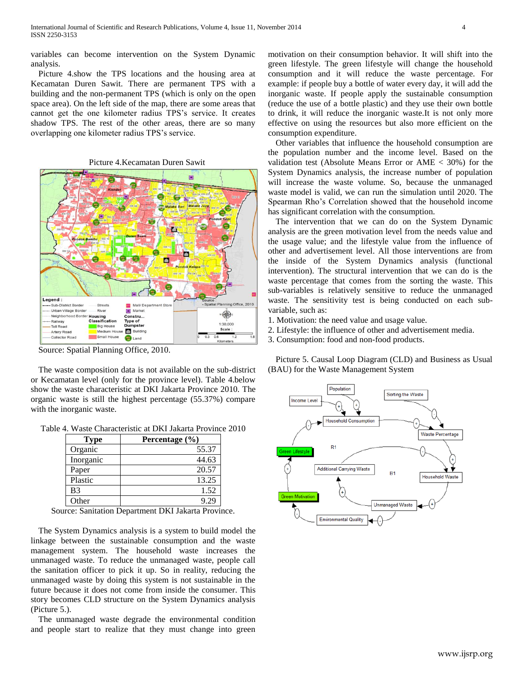variables can become intervention on the System Dynamic analysis.

Picture 4.show the TPS locations and the housing area at Kecamatan Duren Sawit. There are permanent TPS with a building and the non-permanent TPS (which is only on the open space area). On the left side of the map, there are some areas that cannot get the one kilometer radius TPS's service. It creates shadow TPS. The rest of the other areas, there are so many overlapping one kilometer radius TPS's service.



Source: Spatial Planning Office, 2010.

The waste composition data is not available on the sub-district or Kecamatan level (only for the province level). Table 4.below show the waste characteristic at DKI Jakarta Province 2010. The organic waste is still the highest percentage (55.37%) compare with the inorganic waste.

Table 4. Waste Characteristic at DKI Jakarta Province 2010

| Type      | Percentage $(\% )$ |
|-----------|--------------------|
| Organic   | 55.37              |
| Inorganic | 44.63              |
| Paper     | 20.57              |
| Plastic   | 13.25              |
| B3        | 1.52               |
| Other     | -29                |

Source: Sanitation Department DKI Jakarta Province.

The System Dynamics analysis is a system to build model the linkage between the sustainable consumption and the waste management system. The household waste increases the unmanaged waste. To reduce the unmanaged waste, people call the sanitation officer to pick it up. So in reality, reducing the unmanaged waste by doing this system is not sustainable in the future because it does not come from inside the consumer. This story becomes CLD structure on the System Dynamics analysis (Picture 5.).

The unmanaged waste degrade the environmental condition and people start to realize that they must change into green motivation on their consumption behavior. It will shift into the green lifestyle. The green lifestyle will change the household consumption and it will reduce the waste percentage. For example: if people buy a bottle of water every day, it will add the inorganic waste. If people apply the sustainable consumption (reduce the use of a bottle plastic) and they use their own bottle to drink, it will reduce the inorganic waste.It is not only more effective on using the resources but also more efficient on the consumption expenditure.

Other variables that influence the household consumption are the population number and the income level. Based on the validation test (Absolute Means Error or  $\text{AME} < 30\%$ ) for the System Dynamics analysis, the increase number of population will increase the waste volume. So, because the unmanaged waste model is valid, we can run the simulation until 2020. The Spearman Rho's Correlation showed that the household income has significant correlation with the consumption.

The intervention that we can do on the System Dynamic analysis are the green motivation level from the needs value and the usage value; and the lifestyle value from the influence of other and advertisement level. All those interventions are from the inside of the System Dynamics analysis (functional intervention). The structural intervention that we can do is the waste percentage that comes from the sorting the waste. This sub-variables is relatively sensitive to reduce the unmanaged waste. The sensitivity test is being conducted on each subvariable, such as:

1. Motivation: the need value and usage value.

- 2. Lifestyle: the influence of other and advertisement media.
- 3. Consumption: food and non-food products.

Picture 5. Causal Loop Diagram (CLD) and Business as Usual (BAU) for the Waste Management System

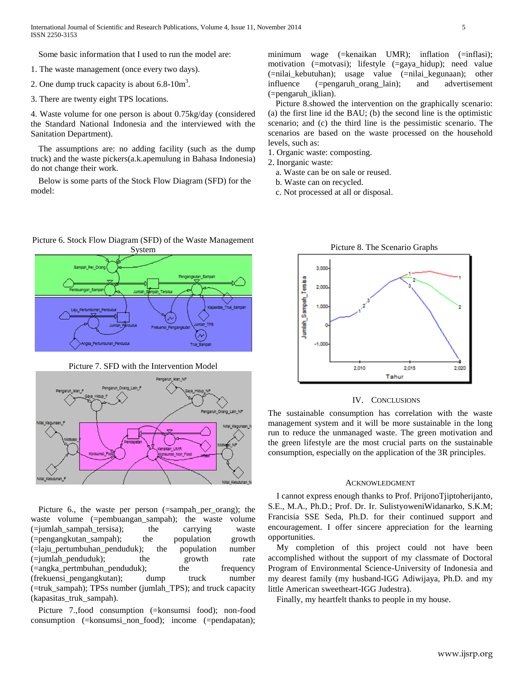Some basic information that I used to run the model are:

- 1. The waste management (once every two days).
- 2. One dump truck capacity is about  $6.8-10m^3$ .
- 3. There are twenty eight TPS locations.

4. Waste volume for one person is about 0.75kg/day (considered the Standard National Indonesia and the interviewed with the Sanitation Department).

The assumptions are: no adding facility (such as the dump truck) and the waste pickers(a.k.apemulung in Bahasa Indonesia) do not change their work.

Below is some parts of the Stock Flow Diagram (SFD) for the model:

minimum wage (=kenaikan UMR); inflation (=inflasi); motivation (=motvasi); lifestyle (=gaya\_hidup); need value (=nilai\_kebutuhan); usage value (=nilai\_kegunaan); other influence (=pengaruh\_orang\_lain); and advertisement (=pengaruh\_iklian).

Picture 8.showed the intervention on the graphically scenario: (a) the first line id the BAU; (b) the second line is the optimistic scenario; and (c) the third line is the pessimistic scenario. The scenarios are based on the waste processed on the household levels, such as:

- 1. Organic waste: composting.
- 2. Inorganic waste:
	- a. Waste can be on sale or reused.
	- b. Waste can on recycled.
	- c. Not processed at all or disposal.

# System Pengangkutan\_Sampah gka Pertumbuhan Pend

Picture 6. Stock Flow Diagram (SFD) of the Waste Management

Picture 7. SFD with the Intervention Model



Picture 6., the waste per person (=sampah\_per\_orang); the waste volume (=pembuangan\_sampah); the waste volume  $(=$ iumlah sampah tersisa); the carrying waste (=pengangkutan\_sampah); the population growth (=laju\_pertumbuhan\_penduduk); the population number (=jumlah\_penduduk); the growth rate (=angka\_pertmbuhan\_penduduk); the frequency (frekuensi\_pengangkutan); dump truck number (=truk\_sampah); TPSs number (jumlah\_TPS); and truck capacity (kapasitas\_truk\_sampah).

Picture 7.,food consumption (=konsumsi food); non-food consumption (=konsumsi\_non\_food); income (=pendapatan);

Picture 8. The Scenario Graphs 3.000 Jumlah\_Sampah\_Tersisa 2,000  $1000$  $-1,000$ 2,010 2.015 2,020 Tahur

### IV. CONCLUSIONS

The sustainable consumption has correlation with the waste management system and it will be more sustainable in the long run to reduce the unmanaged waste. The green motivation and the green lifestyle are the most crucial parts on the sustainable consumption, especially on the application of the 3R principles.

### ACKNOWLEDGMENT

I cannot express enough thanks to Prof. PrijonoTjiptoherijanto, S.E., M.A., Ph.D.; Prof. Dr. Ir. SulistyoweniWidanarko, S.K.M; Francisia SSE Seda, Ph.D. for their continued support and encouragement. I offer sincere appreciation for the learning opportunities.

My completion of this project could not have been accomplished without the support of my classmate of Doctoral Program of Environmental Science-University of Indonesia and my dearest family (my husband-IGG Adiwijaya, Ph.D. and my little American sweetheart-IGG Judestra).

Finally, my heartfelt thanks to people in my house.